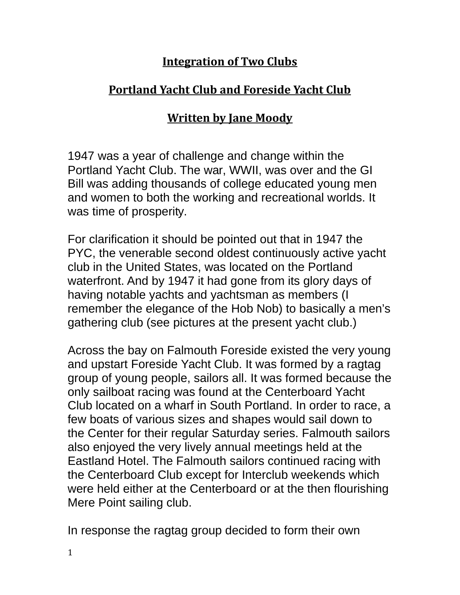## **Integration of Two Clubs**

## **Portland Yacht Club and Foreside Yacht Club**

## **Written by Jane Moody**

1947 was a year of challenge and change within the Portland Yacht Club. The war, WWII, was over and the GI Bill was adding thousands of college educated young men and women to both the working and recreational worlds. It was time of prosperity.

For clarification it should be pointed out that in 1947 the PYC, the venerable second oldest continuously active yacht club in the United States, was located on the Portland waterfront. And by 1947 it had gone from its glory days of having notable yachts and yachtsman as members (I remember the elegance of the Hob Nob) to basically a men's gathering club (see pictures at the present yacht club.)

Across the bay on Falmouth Foreside existed the very young and upstart Foreside Yacht Club. It was formed by a ragtag group of young people, sailors all. It was formed because the only sailboat racing was found at the Centerboard Yacht Club located on a wharf in South Portland. In order to race, a few boats of various sizes and shapes would sail down to the Center for their regular Saturday series. Falmouth sailors also enjoyed the very lively annual meetings held at the Eastland Hotel. The Falmouth sailors continued racing with the Centerboard Club except for Interclub weekends which were held either at the Centerboard or at the then flourishing Mere Point sailing club.

In response the ragtag group decided to form their own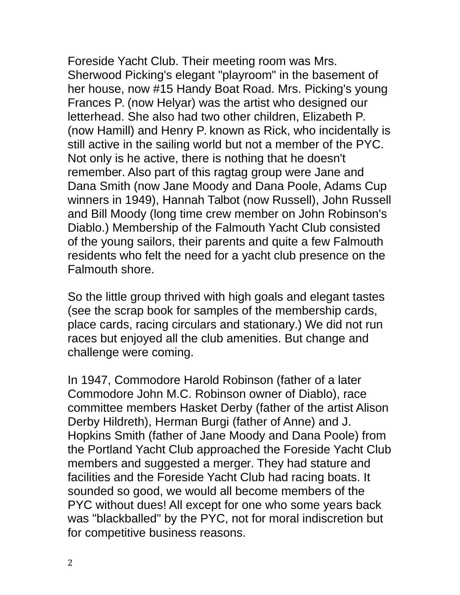Foreside Yacht Club. Their meeting room was Mrs. Sherwood Picking's elegant "playroom" in the basement of her house, now #15 Handy Boat Road. Mrs. Picking's young Frances P. (now Helyar) was the artist who designed our letterhead. She also had two other children, Elizabeth P. (now Hamill) and Henry P. known as Rick, who incidentally is still active in the sailing world but not a member of the PYC. Not only is he active, there is nothing that he doesn't remember. Also part of this ragtag group were Jane and Dana Smith (now Jane Moody and Dana Poole, Adams Cup winners in 1949), Hannah Talbot (now Russell), John Russell and Bill Moody (long time crew member on John Robinson's Diablo.) Membership of the Falmouth Yacht Club consisted of the young sailors, their parents and quite a few Falmouth residents who felt the need for a yacht club presence on the Falmouth shore.

So the little group thrived with high goals and elegant tastes (see the scrap book for samples of the membership cards, place cards, racing circulars and stationary.) We did not run races but enjoyed all the club amenities. But change and challenge were coming.

In 1947, Commodore Harold Robinson (father of a later Commodore John M.C. Robinson owner of Diablo), race committee members Hasket Derby (father of the artist Alison Derby Hildreth), Herman Burgi (father of Anne) and J. Hopkins Smith (father of Jane Moody and Dana Poole) from the Portland Yacht Club approached the Foreside Yacht Club members and suggested a merger. They had stature and facilities and the Foreside Yacht Club had racing boats. It sounded so good, we would all become members of the PYC without dues! All except for one who some years back was "blackballed" by the PYC, not for moral indiscretion but for competitive business reasons.